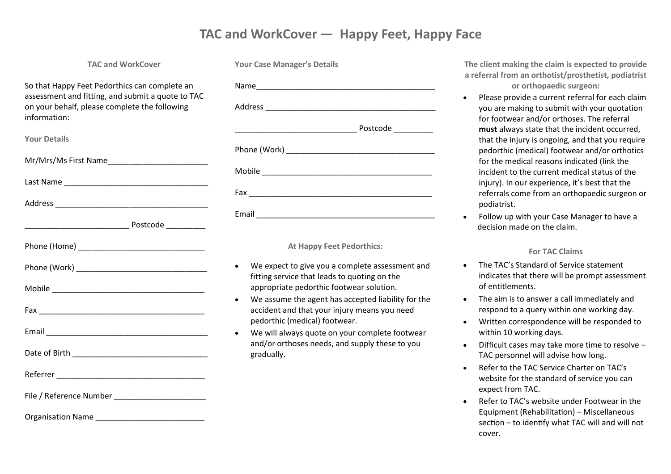## **TAC and WorkCover — Happy Feet, Happy Face**

#### **TAC and WorkCover**

So that Happy Feet Pedorthics can complete an assessment and fitting, and submit a quote to TAC on your behalf, please complete the following information:

| <b>Your Details</b>     |
|-------------------------|
|                         |
|                         |
|                         |
|                         |
|                         |
|                         |
|                         |
|                         |
|                         |
|                         |
|                         |
| File / Reference Number |

Organisation Name

| <b>Your Case Manager's Details</b> |  |
|------------------------------------|--|
|                                    |  |
|                                    |  |
|                                    |  |
|                                    |  |
|                                    |  |
|                                    |  |
|                                    |  |

#### **At Happy Feet Pedorthics:**

- We expect to give you a complete assessment and fitting service that leads to quoting on the appropriate pedorthic footwear solution.
- We assume the agent has accepted liability for the accident and that your injury means you need pedorthic (medical) footwear.
- We will always quote on your complete footwear and/or orthoses needs, and supply these to you gradually.

**The client making the claim is expected to provide a referral from an orthotist/prosthetist, podiatrist or orthopaedic surgeon:**

- Please provide a current referral for each claim you are making to submit with your quotation for footwear and/or orthoses. The referral **must** always state that the incident occurred, that the injury is ongoing, and that you require pedorthic (medical) footwear and/or orthotics for the medical reasons indicated (link the incident to the current medical status of the injury). In our experience, it's best that the referrals come from an orthopaedic surgeon or podiatrist.
- Follow up with your Case Manager to have a decision made on the claim.

### **For TAC Claims**

- The TAC's Standard of Service statement indicates that there will be prompt assessment of entitlements.
- The aim is to answer a call immediately and respond to a query within one working day.
- Written correspondence will be responded to within 10 working days.
- Difficult cases may take more time to resolve TAC personnel will advise how long.
- Refer to the TAC Service Charter on TAC's website for the standard of service you can expect from TAC.
- Refer to TAC's website under Footwear in the Equipment (Rehabilitation) – Miscellaneous section – to identify what TAC will and will not cover.